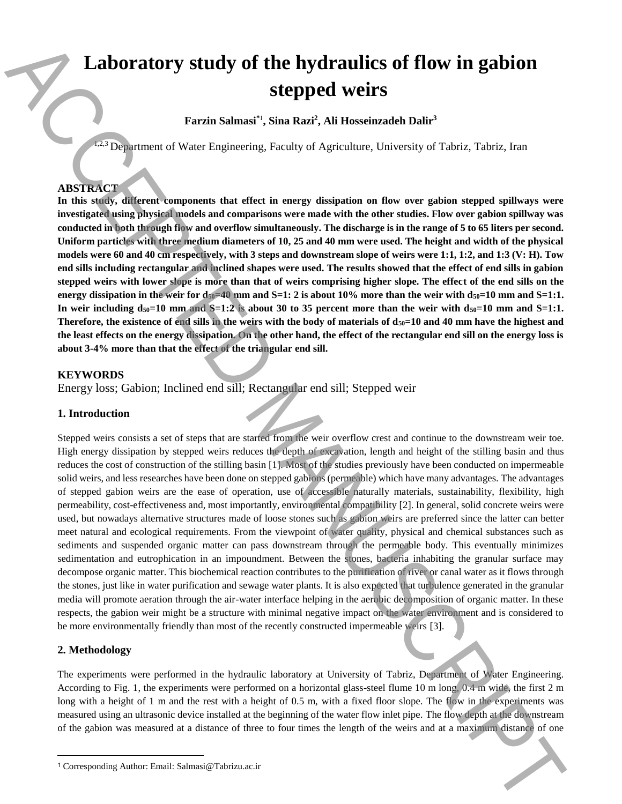# **Laboratory study of the hydraulics of flow in gabion stepped weirs**

**Farzin Salmasi\***<sup>1</sup> **, Sina Razi<sup>2</sup> , Ali Hosseinzadeh Dalir<sup>3</sup>**

1,2,3 Department of Water Engineering, Faculty of Agriculture, University of Tabriz, Tabriz, Iran

# **ABSTRACT**

**In this study, different components that effect in energy dissipation on flow over gabion stepped spillways were investigated using physical models and comparisons were made with the other studies. Flow over gabion spillway was conducted in both through flow and overflow simultaneously. The discharge is in the range of 5 to 65 liters per second. Uniform particles with three medium diameters of 10, 25 and 40 mm were used. The height and width of the physical models were 60 and 40 cm respectively, with 3 steps and downstream slope of weirs were 1:1, 1:2, and 1:3 (V: H). Tow end sills including rectangular and inclined shapes were used. The results showed that the effect of end sills in gabion stepped weirs with lower slope is more than that of weirs comprising higher slope. The effect of the end sills on the energy dissipation in the weir for**  $d_{50}=40$  **mm and S=1: 2 is about 10% more than the weir with**  $d_{50}=10$  **mm and S=1:1.** In weir including  $d_{50}=10$  mm and  $S=1:2$  is about 30 to 35 percent more than the weir with  $d_{50}=10$  mm and  $S=1:1$ . **Therefore, the existence of end sills in the weirs with the body of materials of**  $d_{50}=10$  **and 40 mm have the highest and the least effects on the energy dissipation. On the other hand, the effect of the rectangular end sill on the energy loss is about 3-4% more than that the effect of the triangular end sill.**

# **KEYWORDS**

Energy loss; Gabion; Inclined end sill; Rectangular end sill; Stepped weir

# **1. Introduction**

Stepped weirs consists a set of steps that are started from the weir overflow crest and continue to the downstream weir toe. High energy dissipation by stepped weirs reduces the depth of excavation, length and height of the stilling basin and thus reduces the cost of construction of the stilling basin [1]. Most of the studies previously have been conducted on impermeable solid weirs, and less researches have been done on stepped gabions (permeable) which have many advantages. The advantages of stepped gabion weirs are the ease of operation, use of accessible naturally materials, sustainability, flexibility, high permeability, cost-effectiveness and, most importantly, environmental compatibility [2]. In general, solid concrete weirs were used, but nowadays alternative structures made of loose stones such as gabion weirs are preferred since the latter can better meet natural and ecological requirements. From the viewpoint of water quality, physical and chemical substances such as sediments and suspended organic matter can pass downstream through the permeable body. This eventually minimizes sedimentation and eutrophication in an impoundment. Between the stones, bacteria inhabiting the granular surface may decompose organic matter. This biochemical reaction contributes to the purification of river or canal water as it flows through the stones, just like in water purification and sewage water plants. It is also expected that turbulence generated in the granular media will promote aeration through the air-water interface helping in the aerobic decomposition of organic matter. In these respects, the gabion weir might be a structure with minimal negative impact on the water environment and is considered to be more environmentally friendly than most of the recently constructed impermeable weirs [3]. **Laboratory study of the hydraulics of flow in gabion**<br>**Stepped weirs**<br>**Engineses of Wass Fragments**, Nankad, Ali Hassinaads Dair"<br>
The main School of the step of the step of the step of the step of the step of the step o

# **2. Methodology**

 $\overline{a}$ 

The experiments were performed in the hydraulic laboratory at University of Tabriz, Department of Water Engineering. According to Fig. 1, the experiments were performed on a horizontal glass-steel flume 10 m long, 0.4 m wide, the first 2 m long with a height of 1 m and the rest with a height of 0.5 m, with a fixed floor slope. The flow in the experiments was measured using an ultrasonic device installed at the beginning of the water flow inlet pipe. The flow depth at the downstream of the gabion was measured at a distance of three to four times the length of the weirs and at a maximum distance of one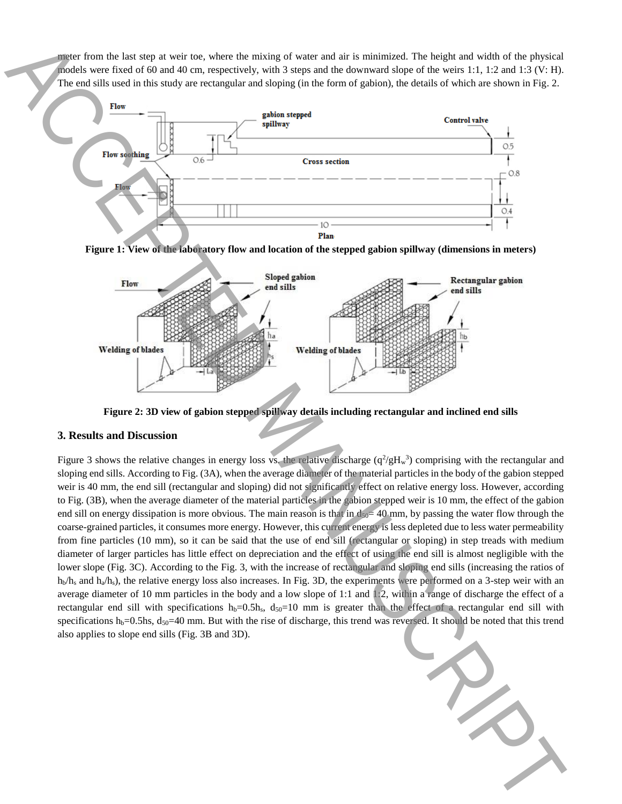meter from the last step at weir toe, where the mixing of water and air is minimized. The height and width of the physical models were fixed of 60 and 40 cm, respectively, with 3 steps and the downward slope of the weirs 1:1, 1:2 and 1:3 (V: H). The end sills used in this study are rectangular and sloping (in the form of gabion), the details of which are shown in Fig. 2.



**Figure 1: View of the laboratory flow and location of the stepped gabion spillway (dimensions in meters)**



**Figure 2: 3D view of gabion stepped spillway details including rectangular and inclined end sills**

## **3. Results and Discussion**

Figure 3 shows the relative changes in energy loss vs. the relative discharge  $(q^2/gH_w^3)$  comprising with the rectangular and sloping end sills. According to Fig. (3A), when the average diameter of the material particles in the body of the gabion stepped weir is 40 mm, the end sill (rectangular and sloping) did not significantly effect on relative energy loss. However, according to Fig. (3B), when the average diameter of the material particles in the gabion stepped weir is 10 mm, the effect of the gabion end sill on energy dissipation is more obvious. The main reason is that in  $d_{50}=40$  mm, by passing the water flow through the coarse-grained particles, it consumes more energy. However, this current energy is less depleted due to less water permeability from fine particles (10 mm), so it can be said that the use of end sill (rectangular or sloping) in step treads with medium diameter of larger particles has little effect on depreciation and the effect of using the end sill is almost negligible with the lower slope (Fig. 3C). According to the Fig. 3, with the increase of rectangular and sloping end sills (increasing the ratios of  $h_b/h_s$  and  $h_a/h_s$ ), the relative energy loss also increases. In Fig. 3D, the experiments were performed on a 3-step weir with an average diameter of 10 mm particles in the body and a low slope of 1:1 and  $\mathbb{R}^2$ , within a range of discharge the effect of a rectangular end sill with specifications  $h_b=0.5h_s$ ,  $d_{50}=10$  mm is greater than the effect of a rectangular end sill with specifications  $h_b=0.5$ hs,  $d_{50}=40$  mm. But with the rise of discharge, this trend was reversed. It should be noted that this trend also applies to see that the control of the internet of the internet of the internet of the department of the internet of the internet of the internet of the internet of the internet of the internet of the internet of the